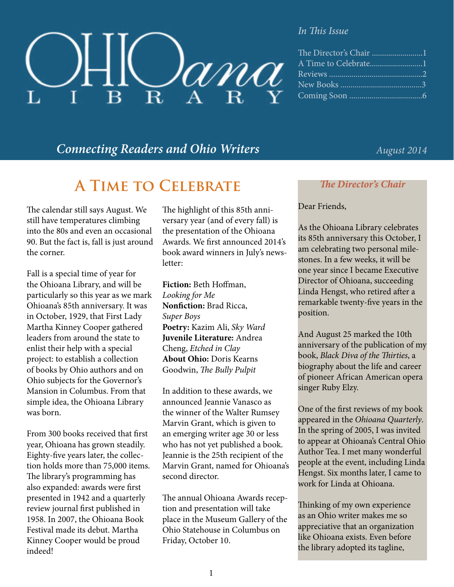

#### *In This Issue*

| The Director's Chair 1 |
|------------------------|
|                        |
|                        |
|                        |
|                        |

# *Connecting Readers and Ohio Writers August 2014*

# **A Time to Celebrate**

The calendar still says August. We still have temperatures climbing into the 80s and even an occasional 90. But the fact is, fall is just around the corner.

Fall is a special time of year for the Ohioana Library, and will be particularly so this year as we mark Ohioana's 85th anniversary. It was in October, 1929, that First Lady Martha Kinney Cooper gathered leaders from around the state to enlist their help with a special project: to establish a collection of books by Ohio authors and on Ohio subjects for the Governor's Mansion in Columbus. From that simple idea, the Ohioana Library was born.

From 300 books received that first year, Ohioana has grown steadily. Eighty-five years later, the collection holds more than 75,000 items. The library's programming has also expanded: awards were first presented in 1942 and a quarterly review journal first published in 1958. In 2007, the Ohioana Book Festival made its debut. Martha Kinney Cooper would be proud indeed!

The highlight of this 85th anniversary year (and of every fall) is the presentation of the Ohioana Awards. We first announced 2014's book award winners in July's newsletter:

**Fiction:** Beth Hoffman, *Looking for Me* **Nonfiction:** Brad Ricca, *Super Boys* **Poetry:** Kazim Ali, *Sky Ward* **Juvenile Literature:** Andrea Cheng, *Etched in Clay* **About Ohio:** Doris Kearns Goodwin, *The Bully Pulpit*

In addition to these awards, we announced Jeannie Vanasco as the winner of the Walter Rumsey Marvin Grant, which is given to an emerging writer age 30 or less who has not yet published a book. Jeannie is the 25th recipient of the Marvin Grant, named for Ohioana's second director.

The annual Ohioana Awards reception and presentation will take place in the Museum Gallery of the Ohio Statehouse in Columbus on Friday, October 10.

### *The Director's Chair*

#### Dear Friends,

As the Ohioana Library celebrates its 85th anniversary this October, I am celebrating two personal milestones. In a few weeks, it will be one year since I became Executive Director of Ohioana, succeeding Linda Hengst, who retired after a remarkable twenty-five years in the position.

And August 25 marked the 10th anniversary of the publication of my book, *Black Diva of the Thirties*, a biography about the life and career of pioneer African American opera singer Ruby Elzy.

One of the first reviews of my book appeared in the *Ohioana Quarterly*. In the spring of 2005, I was invited to appear at Ohioana's Central Ohio Author Tea. I met many wonderful people at the event, including Linda Hengst. Six months later, I came to work for Linda at Ohioana.

Thinking of my own experience as an Ohio writer makes me so appreciative that an organization like Ohioana exists. Even before the library adopted its tagline,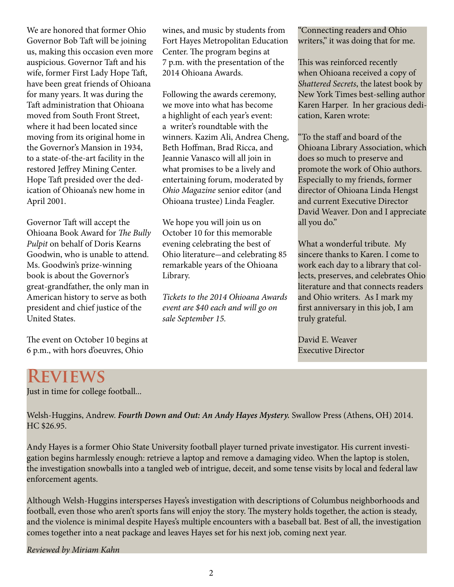We are honored that former Ohio Governor Bob Taft will be joining us, making this occasion even more auspicious. Governor Taft and his wife, former First Lady Hope Taft, have been great friends of Ohioana for many years. It was during the Taft administration that Ohioana moved from South Front Street, where it had been located since moving from its original home in the Governor's Mansion in 1934, to a state-of-the-art facility in the restored Jeffrey Mining Center. Hope Taft presided over the dedication of Ohioana's new home in April 2001.

Governor Taft will accept the Ohioana Book Award for *The Bully Pulpit* on behalf of Doris Kearns Goodwin, who is unable to attend. Ms. Goodwin's prize-winning book is about the Governor's great-grandfather, the only man in American history to serve as both president and chief justice of the United States.

The event on October 10 begins at 6 p.m., with hors d'oeuvres, Ohio

wines, and music by students from Fort Hayes Metropolitan Education Center. The program begins at 7 p.m. with the presentation of the 2014 Ohioana Awards.

Following the awards ceremony, we move into what has become a highlight of each year's event: a writer's roundtable with the winners. Kazim Ali, Andrea Cheng, Beth Hoffman, Brad Ricca, and Jeannie Vanasco will all join in what promises to be a lively and entertaining forum, moderated by *Ohio Magazine* senior editor (and Ohioana trustee) Linda Feagler.

We hope you will join us on October 10 for this memorable evening celebrating the best of Ohio literature-and celebrating 85 remarkable years of the Ohioana Library.

*Tickets to the 2014 Ohioana Awards event are \$40 each and will go on sale September 15.*

"Connecting readers and Ohio writers," it was doing that for me.

This was reinforced recently when Ohioana received a copy of *Shattered Secrets*, the latest book by New York Times best-selling author Karen Harper. In her gracious dedication, Karen wrote:

"To the staff and board of the Ohioana Library Association, which does so much to preserve and promote the work of Ohio authors. Especially to my friends, former director of Ohioana Linda Hengst and current Executive Director David Weaver. Don and I appreciate all you do."

What a wonderful tribute. My sincere thanks to Karen. I come to work each day to a library that collects, preserves, and celebrates Ohio literature and that connects readers and Ohio writers. As I mark my first anniversary in this job, I am truly grateful.

David E. Weaver Executive Director

# **Reviews**

Just in time for college football...

Welsh-Huggins, Andrew. *Fourth Down and Out: An Andy Hayes Mystery.* Swallow Press (Athens, OH) 2014. HC \$26.95.

Andy Hayes is a former Ohio State University football player turned private investigator. His current investigation begins harmlessly enough: retrieve a laptop and remove a damaging video. When the laptop is stolen, the investigation snowballs into a tangled web of intrigue, deceit, and some tense visits by local and federal law enforcement agents.

Although Welsh-Huggins intersperses Hayes's investigation with descriptions of Columbus neighborhoods and football, even those who aren't sports fans will enjoy the story. The mystery holds together, the action is steady, and the violence is minimal despite Hayes's multiple encounters with a baseball bat. Best of all, the investigation comes together into a neat package and leaves Hayes set for his next job, coming next year.

*Reviewed by Miriam Kahn*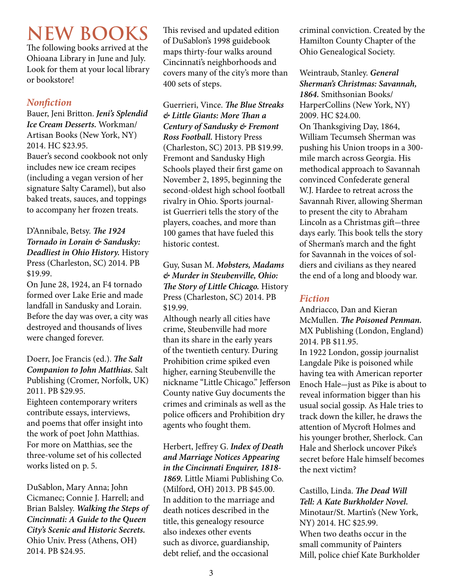# **NEW BOOKS**

The following books arrived at the Ohioana Library in June and July. Look for them at your local library or bookstore!

## *Nonfiction*

Bauer, Jeni Britton. *Jeni's Splendid Ice Cream Desserts.* Workman/ Artisan Books (New York, NY) 2014. HC \$23.95. Bauer's second cookbook not only includes new ice cream recipes (including a vegan version of her signature Salty Caramel), but also baked treats, sauces, and toppings to accompany her frozen treats.

### D'Annibale, Betsy. *The 1924 Tornado in Lorain & Sandusky: Deadliest in Ohio History.* History Press (Charleston, SC) 2014. PB \$19.99.

On June 28, 1924, an F4 tornado formed over Lake Erie and made landfall in Sandusky and Lorain. Before the day was over, a city was destroyed and thousands of lives were changed forever.

Doerr, Joe Francis (ed.). *The Salt Companion to John Matthias.* Salt Publishing (Cromer, Norfolk, UK) 2011. PB \$29.95. Eighteen contemporary writers contribute essays, interviews, and poems that offer insight into the work of poet John Matthias. For more on Matthias, see the three-volume set of his collected works listed on p. 5.

DuSablon, Mary Anna; John Cicmanec; Connie J. Harrell; and Brian Balsley. *Walking the Steps of Cincinnati: A Guide to the Queen City's Scenic and Historic Secrets.*  Ohio Univ. Press (Athens, OH) 2014. PB \$24.95.

This revised and updated edition of DuSablon's 1998 guidebook maps thirty-four walks around Cincinnati's neighborhoods and covers many of the city's more than 400 sets of steps.

Guerrieri, Vince. *The Blue Streaks & Little Giants: More Than a Century of Sandusky & Fremont Ross Football.* History Press (Charleston, SC) 2013. PB \$19.99. Fremont and Sandusky High Schools played their first game on November 2, 1895, beginning the second-oldest high school football rivalry in Ohio. Sports journalist Guerrieri tells the story of the players, coaches, and more than 100 games that have fueled this historic contest.

Guy, Susan M. *Mobsters, Madams & Murder in Steubenville, Ohio: The Story of Little Chicago.* History Press (Charleston, SC) 2014. PB \$19.99.

Although nearly all cities have crime, Steubenville had more than its share in the early years of the twentieth century. During Prohibition crime spiked even higher, earning Steubenville the nickname "Little Chicago." Jefferson County native Guy documents the crimes and criminals as well as the police officers and Prohibition dry agents who fought them.

Herbert, Jeffrey G. *Index of Death and Marriage Notices Appearing in the Cincinnati Enquirer, 1818- 1869.* Little Miami Publishing Co. (Milford, OH) 2013. PB \$45.00. In addition to the marriage and death notices described in the title, this genealogy resource also indexes other events such as divorce, guardianship, debt relief, and the occasional

criminal conviction. Created by the Hamilton County Chapter of the Ohio Genealogical Society.

Weintraub, Stanley. *General Sherman's Christmas: Savannah, 1864.* Smithsonian Books/ HarperCollins (New York, NY) 2009. HC \$24.00. On Thanksgiving Day, 1864, William Tecumseh Sherman was pushing his Union troops in a 300 mile march across Georgia. His methodical approach to Savannah convinced Confederate general W.J. Hardee to retreat across the Savannah River, allowing Sherman to present the city to Abraham Lincoln as a Christmas gift-three days early. This book tells the story of Sherman's march and the fight for Savannah in the voices of soldiers and civilians as they neared the end of a long and bloody war.

# *Fiction*

Andriacco, Dan and Kieran McMullen. *The Poisoned Penman.*  MX Publishing (London, England) 2014. PB \$11.95.

In 1922 London, gossip journalist Langdale Pike is poisoned while having tea with American reporter Enoch Hale-just as Pike is about to reveal information bigger than his usual social gossip. As Hale tries to track down the killer, he draws the attention of Mycroft Holmes and his younger brother, Sherlock. Can Hale and Sherlock uncover Pike's secret before Hale himself becomes the next victim?

Castillo, Linda. *The Dead Will Tell: A Kate Burkholder Novel.*  Minotaur/St. Martin's (New York, NY) 2014. HC \$25.99. When two deaths occur in the small community of Painters Mill, police chief Kate Burkholder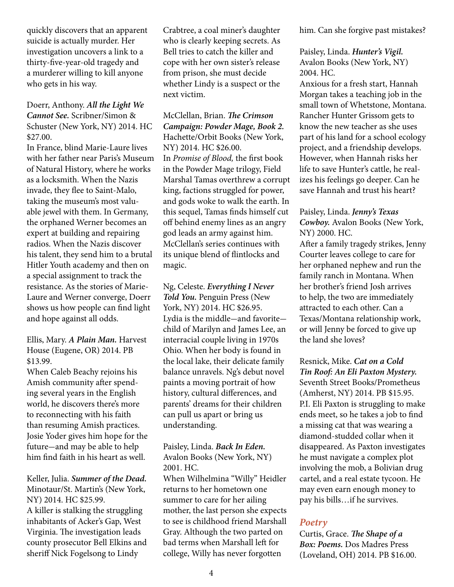quickly discovers that an apparent suicide is actually murder. Her investigation uncovers a link to a thirty-five-year-old tragedy and a murderer willing to kill anyone who gets in his way.

### Doerr, Anthony. *All the Light We Cannot See.* Scribner/Simon & Schuster (New York, NY) 2014. HC \$27.00.

In France, blind Marie-Laure lives with her father near Paris's Museum of Natural History, where he works as a locksmith. When the Nazis invade, they flee to Saint-Malo, taking the museum's most valuable jewel with them. In Germany, the orphaned Werner becomes an expert at building and repairing radios. When the Nazis discover his talent, they send him to a brutal Hitler Youth academy and then on a special assignment to track the resistance. As the stories of Marie-Laure and Werner converge, Doerr shows us how people can find light and hope against all odds.

#### Ellis, Mary. *A Plain Man.* Harvest House (Eugene, OR) 2014. PB \$13.99.

When Caleb Beachy rejoins his Amish community after spending several years in the English world, he discovers there's more to reconnecting with his faith than resuming Amish practices. Josie Yoder gives him hope for the future-and may be able to help him find faith in his heart as well.

Keller, Julia. *Summer of the Dead.*  Minotaur/St. Martin's (New York, NY) 2014. HC \$25.99. A killer is stalking the struggling inhabitants of Acker's Gap, West Virginia. The investigation leads county prosecutor Bell Elkins and sheriff Nick Fogelsong to Lindy

Crabtree, a coal miner's daughter who is clearly keeping secrets. As Bell tries to catch the killer and cope with her own sister's release from prison, she must decide whether Lindy is a suspect or the next victim.

McClellan, Brian. *The Crimson Campaign: Powder Mage, Book 2.*  Hachette/Orbit Books (New York, NY) 2014. HC \$26.00. In *Promise of Blood,* the first book in the Powder Mage trilogy, Field Marshal Tamas overthrew a corrupt king, factions struggled for power, and gods woke to walk the earth. In this sequel, Tamas finds himself cut off behind enemy lines as an angry god leads an army against him. McClellan's series continues with its unique blend of flintlocks and magic.

Ng, Celeste. *Everything I Never Told You.* Penguin Press (New York, NY) 2014. HC \$26.95. Lydia is the middle-and favoritechild of Marilyn and James Lee, an interracial couple living in 1970s Ohio. When her body is found in the local lake, their delicate family balance unravels. Ng's debut novel paints a moving portrait of how history, cultural differences, and parents' dreams for their children can pull us apart or bring us understanding.

### Paisley, Linda. *Back In Eden.*  Avalon Books (New York, NY) 2001. HC.

When Wilhelmina "Willy" Heidler returns to her hometown one summer to care for her ailing mother, the last person she expects to see is childhood friend Marshall Gray. Although the two parted on bad terms when Marshall left for college, Willy has never forgotten

him. Can she forgive past mistakes?

Paisley, Linda. *Hunter's Vigil.*  Avalon Books (New York, NY) 2004. HC.

Anxious for a fresh start, Hannah Morgan takes a teaching job in the small town of Whetstone, Montana. Rancher Hunter Grissom gets to know the new teacher as she uses part of his land for a school ecology project, and a friendship develops. However, when Hannah risks her life to save Hunter's cattle, he realizes his feelings go deeper. Can he save Hannah and trust his heart?

Paisley, Linda. *Jenny's Texas Cowboy.* Avalon Books (New York, NY) 2000. HC. After a family tragedy strikes, Jenny Courter leaves college to care for her orphaned nephew and run the family ranch in Montana. When

her brother's friend Josh arrives to help, the two are immediately attracted to each other. Can a Texas/Montana relationship work, or will Jenny be forced to give up the land she loves?

Resnick, Mike. *Cat on a Cold Tin Roof: An Eli Paxton Mystery.*  Seventh Street Books/Prometheus (Amherst, NY) 2014. PB \$15.95. P.I. Eli Paxton is struggling to make ends meet, so he takes a job to find a missing cat that was wearing a diamond-studded collar when it disappeared. As Paxton investigates he must navigate a complex plot involving the mob, a Bolivian drug cartel, and a real estate tycoon. He may even earn enough money to pay his bills…if he survives.

## *Poetry*

Curtis, Grace. *The Shape of a Box: Poems.* Dos Madres Press (Loveland, OH) 2014. PB \$16.00.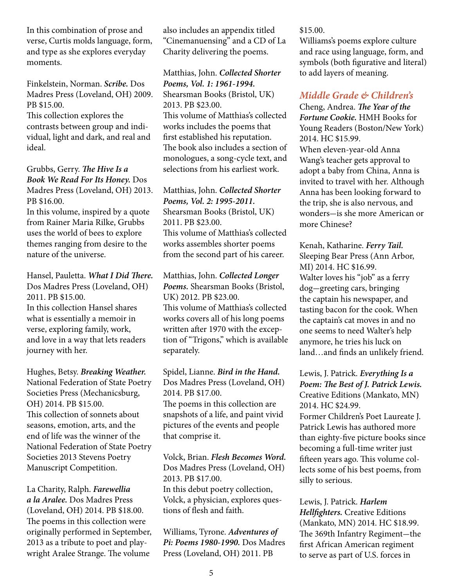In this combination of prose and verse, Curtis molds language, form, and type as she explores everyday moments.

Finkelstein, Norman. *Scribe.* Dos Madres Press (Loveland, OH) 2009. PB \$15.00.

This collection explores the contrasts between group and individual, light and dark, and real and ideal.

Grubbs, Gerry. *The Hive Is a Book We Read For Its Honey.* Dos Madres Press (Loveland, OH) 2013. PB \$16.00.

In this volume, inspired by a quote from Rainer Maria Rilke, Grubbs uses the world of bees to explore themes ranging from desire to the nature of the universe.

Hansel, Pauletta. *What I Did There.* Dos Madres Press (Loveland, OH) 2011. PB \$15.00. In this collection Hansel shares what is essentially a memoir in verse, exploring family, work, and love in a way that lets readers journey with her.

Hughes, Betsy. *Breaking Weather.*  National Federation of State Poetry Societies Press (Mechanicsburg, OH) 2014. PB \$15.00. This collection of sonnets about seasons, emotion, arts, and the end of life was the winner of the National Federation of State Poetry Societies 2013 Stevens Poetry Manuscript Competition.

La Charity, Ralph. *Farewellia a la Aralee.* Dos Madres Press (Loveland, OH) 2014. PB \$18.00. The poems in this collection were originally performed in September, 2013 as a tribute to poet and playwright Aralee Strange. The volume

also includes an appendix titled "Cinemanuensing" and a CD of La Charity delivering the poems.

Matthias, John. *Collected Shorter Poems, Vol. 1: 1961-1994.*  Shearsman Books (Bristol, UK) 2013. PB \$23.00. This volume of Matthias's collected works includes the poems that first established his reputation. The book also includes a section of monologues, a song-cycle text, and selections from his earliest work.

Matthias, John. *Collected Shorter Poems, Vol. 2: 1995-2011.*  Shearsman Books (Bristol, UK) 2011. PB \$23.00. This volume of Matthias's collected works assembles shorter poems from the second part of his career.

Matthias, John. *Collected Longer Poems.* Shearsman Books (Bristol, UK) 2012. PB \$23.00. This volume of Matthias's collected works covers all of his long poems written after 1970 with the exception of "Trigons," which is available separately.

Spidel, Lianne. *Bird in the Hand.*  Dos Madres Press (Loveland, OH) 2014. PB \$17.00. The poems in this collection are snapshots of a life, and paint vivid pictures of the events and people that comprise it.

Volck, Brian. *Flesh Becomes Word.*  Dos Madres Press (Loveland, OH) 2013. PB \$17.00. In this debut poetry collection, Volck, a physician, explores questions of flesh and faith.

Williams, Tyrone. *Adventures of Pi: Poems 1980-1990.* Dos Madres Press (Loveland, OH) 2011. PB

#### \$15.00.

Williams's poems explore culture and race using language, form, and symbols (both figurative and literal) to add layers of meaning.

# *Middle Grade & Children's*

Cheng, Andrea. *The Year of the Fortune Cookie.* HMH Books for Young Readers (Boston/New York) 2014. HC \$15.99. When eleven-year-old Anna Wang's teacher gets approval to adopt a baby from China, Anna is invited to travel with her. Although Anna has been looking forward to the trip, she is also nervous, and wonders-is she more American or more Chinese?

Kenah, Katharine. *Ferry Tail.*  Sleeping Bear Press (Ann Arbor, MI) 2014. HC \$16.99. Walter loves his "job" as a ferry dog-greeting cars, bringing the captain his newspaper, and tasting bacon for the cook. When the captain's cat moves in and no one seems to need Walter's help anymore, he tries his luck on land…and finds an unlikely friend.

Lewis, J. Patrick. *Everything Is a Poem: The Best of J. Patrick Lewis.* Creative Editions (Mankato, MN) 2014. HC \$24.99.

Former Children's Poet Laureate J. Patrick Lewis has authored more than eighty-five picture books since becoming a full-time writer just fifteen years ago. This volume collects some of his best poems, from silly to serious.

Lewis, J. Patrick. *Harlem Hellfighters.* Creative Editions (Mankato, MN) 2014. HC \$18.99. The 369th Infantry Regiment-the first African American regiment to serve as part of U.S. forces in